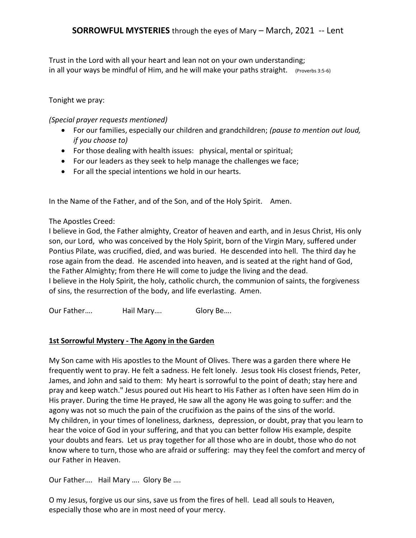Trust in the Lord with all your heart and lean not on your own understanding; in all your ways be mindful of Him, and he will make your paths straight. (Proverbs 3:5-6)

## Tonight we pray:

*(Special prayer requests mentioned)*

- For our families, especially our children and grandchildren; *(pause to mention out loud, if you choose to)*
- For those dealing with health issues: physical, mental or spiritual;
- For our leaders as they seek to help manage the challenges we face;
- For all the special intentions we hold in our hearts.

In the Name of the Father, and of the Son, and of the Holy Spirit. Amen.

#### The Apostles Creed:

I believe in God, the Father almighty, Creator of heaven and earth, and in Jesus Christ, His only son, our Lord, who was conceived by the Holy Spirit, born of the Virgin Mary, suffered under Pontius Pilate, was crucified, died, and was buried. He [descended](http://www.creeds.net/ancient/descendit.htm) into hell. The third day he rose again from the dead. He ascended into heaven, and is seated at the right hand of God, the Father Almighty; from there He will come to judge the living and the dead. I believe in the Holy Spirit, the holy, catholic church, the communion of saints, the forgiveness of sins, the resurrection of the body, and life everlasting. Amen.

Our Father.... Hail Mary.... Glory Be....

# **1st Sorrowful Mystery - The Agony in the Garden**

My Son came with His apostles to the Mount of Olives. There was a garden there where He frequently went to pray. He felt a sadness. He felt lonely. Jesus took His closest friends, Peter, James, and John and said to them: My heart is sorrowful to the point of death; stay here and pray and keep watch." Jesus poured out His heart to His Father as I often have seen Him do in His prayer. During the time He prayed, He saw all the agony He was going to suffer: and the agony was not so much the pain of the crucifixion as the pains of the sins of the world. My children, in your times of loneliness, darkness, depression, or doubt, pray that you learn to hear the voice of God in your suffering, and that you can better follow His example, despite your doubts and fears. Let us pray together for all those who are in doubt, those who do not know where to turn, those who are afraid or suffering: may they feel the comfort and mercy of our Father in Heaven.

Our Father…. Hail Mary …. Glory Be ….

O my Jesus, forgive us our sins, save us from the fires of hell. Lead all souls to Heaven, especially those who are in most need of your mercy.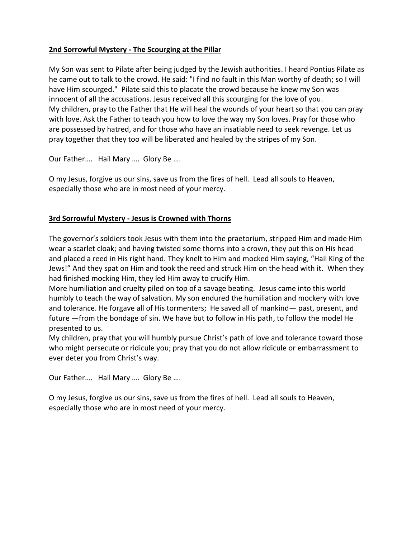# **2nd Sorrowful Mystery - The Scourging at the Pillar**

My Son was sent to Pilate after being judged by the Jewish authorities. I heard Pontius Pilate as he came out to talk to the crowd. He said: "I find no fault in this Man worthy of death; so I will have Him scourged." Pilate said this to placate the crowd because he knew my Son was innocent of all the accusations. Jesus received all this scourging for the love of you. My children, pray to the Father that He will heal the wounds of your heart so that you can pray with love. Ask the Father to teach you how to love the way my Son loves. Pray for those who are possessed by hatred, and for those who have an insatiable need to seek revenge. Let us pray together that they too will be liberated and healed by the stripes of my Son.

Our Father…. Hail Mary …. Glory Be ….

O my Jesus, forgive us our sins, save us from the fires of hell. Lead all souls to Heaven, especially those who are in most need of your mercy.

# **3rd Sorrowful Mystery - Jesus is Crowned with Thorns**

The governor's soldiers took Jesus with them into the praetorium, stripped Him and made Him wear a scarlet cloak; and having twisted some thorns into a crown, they put this on His head and placed a reed in His right hand. They knelt to Him and mocked Him saying, "Hail King of the Jews!" And they spat on Him and took the reed and struck Him on the head with it. When they had finished mocking Him, they led Him away to crucify Him.

More humiliation and cruelty piled on top of a savage beating. Jesus came into this world humbly to teach the way of salvation. My son endured the humiliation and mockery with love and tolerance. He forgave all of His tormenters; He saved all of mankind— past, present, and future —from the bondage of sin. We have but to follow in His path, to follow the model He presented to us.

My children, pray that you will humbly pursue Christ's path of love and tolerance toward those who might persecute or ridicule you; pray that you do not allow ridicule or embarrassment to ever deter you from Christ's way.

Our Father…. Hail Mary …. Glory Be ….

O my Jesus, forgive us our sins, save us from the fires of hell. Lead all souls to Heaven, especially those who are in most need of your mercy.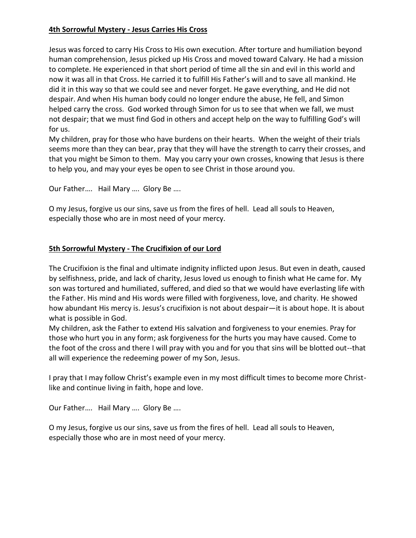# **4th Sorrowful Mystery - Jesus Carries His Cross**

Jesus was forced to carry His Cross to His own execution. After torture and humiliation beyond human comprehension, Jesus picked up His Cross and moved toward Calvary. He had a mission to complete. He experienced in that short period of time all the sin and evil in this world and now it was all in that Cross. He carried it to fulfill His Father's will and to save all mankind. He did it in this way so that we could see and never forget. He gave everything, and He did not despair. And when His human body could no longer endure the abuse, He fell, and Simon helped carry the cross. God worked through Simon for us to see that when we fall, we must not despair; that we must find God in others and accept help on the way to fulfilling God's will for us.

My children, pray for those who have burdens on their hearts. When the weight of their trials seems more than they can bear, pray that they will have the strength to carry their crosses, and that you might be Simon to them. May you carry your own crosses, knowing that Jesus is there to help you, and may your eyes be open to see Christ in those around you.

Our Father…. Hail Mary …. Glory Be ….

O my Jesus, forgive us our sins, save us from the fires of hell. Lead all souls to Heaven, especially those who are in most need of your mercy.

## **5th Sorrowful Mystery - The Crucifixion of our Lord**

The Crucifixion is the final and ultimate indignity inflicted upon Jesus. But even in death, caused by selfishness, pride, and lack of charity, Jesus loved us enough to finish what He came for. My son was tortured and humiliated, suffered, and died so that we would have everlasting life with the Father. His mind and His words were filled with forgiveness, love, and charity. He showed how abundant His mercy is. Jesus's crucifixion is not about despair—it is about hope. It is about what is possible in God.

My children, ask the Father to extend His salvation and forgiveness to your enemies. Pray for those who hurt you in any form; ask forgiveness for the hurts you may have caused. Come to the foot of the cross and there I will pray with you and for you that sins will be blotted out--that all will experience the redeeming power of my Son, Jesus.

I pray that I may follow Christ's example even in my most difficult times to become more Christlike and continue living in faith, hope and love.

Our Father…. Hail Mary …. Glory Be ….

O my Jesus, forgive us our sins, save us from the fires of hell. Lead all souls to Heaven, especially those who are in most need of your mercy.